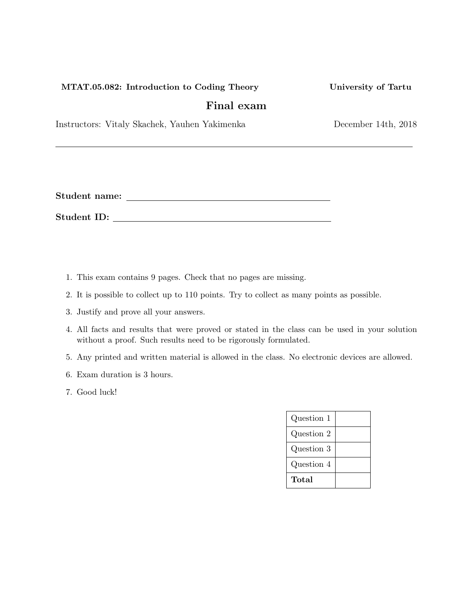## MTAT.05.082: Introduction to Coding Theory University of Tartu

# Final exam

Instructors: Vitaly Skachek, Yauhen Yakimenka December 14th, 2018

Student name:

Student ID:

- 1. This exam contains 9 pages. Check that no pages are missing.
- 2. It is possible to collect up to 110 points. Try to collect as many points as possible.
- 3. Justify and prove all your answers.
- 4. All facts and results that were proved or stated in the class can be used in your solution without a proof. Such results need to be rigorously formulated.
- 5. Any printed and written material is allowed in the class. No electronic devices are allowed.
- 6. Exam duration is 3 hours.
- 7. Good luck!

| Question 1 |  |
|------------|--|
| Question 2 |  |
| Question 3 |  |
| Question 4 |  |
| Total      |  |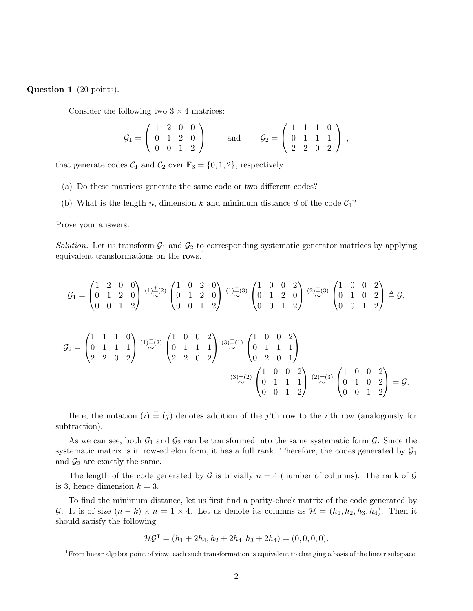Question 1 (20 points).

Consider the following two  $3 \times 4$  matrices:

$$
\mathcal{G}_1 = \left( \begin{array}{cccc} 1 & 2 & 0 & 0 \\ 0 & 1 & 2 & 0 \\ 0 & 0 & 1 & 2 \end{array} \right) \text{ and } \mathcal{G}_2 = \left( \begin{array}{cccc} 1 & 1 & 1 & 0 \\ 0 & 1 & 1 & 1 \\ 2 & 2 & 0 & 2 \end{array} \right) ,
$$

that generate codes  $C_1$  and  $C_2$  over  $\mathbb{F}_3 = \{0, 1, 2\}$ , respectively.

- (a) Do these matrices generate the same code or two different codes?
- (b) What is the length n, dimension k and minimum distance d of the code  $C_1$ ?

Prove your answers.

Solution. Let us transform  $\mathcal{G}_1$  and  $\mathcal{G}_2$  to corresponding systematic generator matrices by applying equivalent transformations on the rows.<sup>1</sup>

$$
\mathcal{G}_1 = \begin{pmatrix} 1 & 2 & 0 & 0 \\ 0 & 1 & 2 & 0 \\ 0 & 0 & 1 & 2 \end{pmatrix} \stackrel{(1)\pm(2)}{\sim} \begin{pmatrix} 1 & 0 & 2 & 0 \\ 0 & 1 & 2 & 0 \\ 0 & 0 & 1 & 2 \end{pmatrix} \stackrel{(1)\pm(3)}{\sim} \begin{pmatrix} 1 & 0 & 0 & 2 \\ 0 & 1 & 2 & 0 \\ 0 & 0 & 1 & 2 \end{pmatrix} \stackrel{(2)\pm(3)}{\sim} \begin{pmatrix} 1 & 0 & 0 & 2 \\ 0 & 1 & 2 & 0 \\ 0 & 0 & 1 & 2 \end{pmatrix} \triangleq \mathcal{G}.
$$
\n
$$
\mathcal{G}_2 = \begin{pmatrix} 1 & 1 & 1 & 0 \\ 0 & 1 & 1 & 1 \\ 2 & 2 & 0 & 2 \end{pmatrix} \stackrel{(1)\pm(2)}{\sim} \begin{pmatrix} 1 & 0 & 0 & 2 \\ 0 & 1 & 1 & 1 \\ 2 & 2 & 0 & 2 \end{pmatrix} \stackrel{(3)\pm(1)}{\sim} \begin{pmatrix} 1 & 0 & 0 & 2 \\ 0 & 1 & 1 & 1 \\ 0 & 2 & 0 & 1 \end{pmatrix}
$$
\n
$$
\stackrel{(3)\pm(2)}{\sim} \begin{pmatrix} 1 & 0 & 0 & 2 \\ 0 & 1 & 1 & 1 \\ 0 & 0 & 1 & 2 \end{pmatrix} \stackrel{(2)\pm(3)}{\sim} \begin{pmatrix} 1 & 0 & 0 & 2 \\ 0 & 1 & 0 & 2 \\ 0 & 0 & 1 & 2 \end{pmatrix} = \mathcal{G}.
$$

Here, the notation  $(i) \stackrel{+}{=} (j)$  denotes addition of the j'th row to the i'th row (analogously for subtraction).

As we can see, both  $\mathcal{G}_1$  and  $\mathcal{G}_2$  can be transformed into the same systematic form  $\mathcal{G}$ . Since the systematic matrix is in row-echelon form, it has a full rank. Therefore, the codes generated by  $\mathcal{G}_1$ and  $\mathcal{G}_2$  are exactly the same.

The length of the code generated by G is trivially  $n = 4$  (number of columns). The rank of G is 3, hence dimension  $k = 3$ .

To find the minimum distance, let us first find a parity-check matrix of the code generated by G. It is of size  $(n-k) \times n = 1 \times 4$ . Let us denote its columns as  $\mathcal{H} = (h_1, h_2, h_3, h_4)$ . Then it should satisfy the following:

$$
\mathcal{H}\mathcal{G}^{\mathsf{T}} = (h_1 + 2h_4, h_2 + 2h_4, h_3 + 2h_4) = (0, 0, 0, 0).
$$

<sup>1</sup>From linear algebra point of view, each such transformation is equivalent to changing a basis of the linear subspace.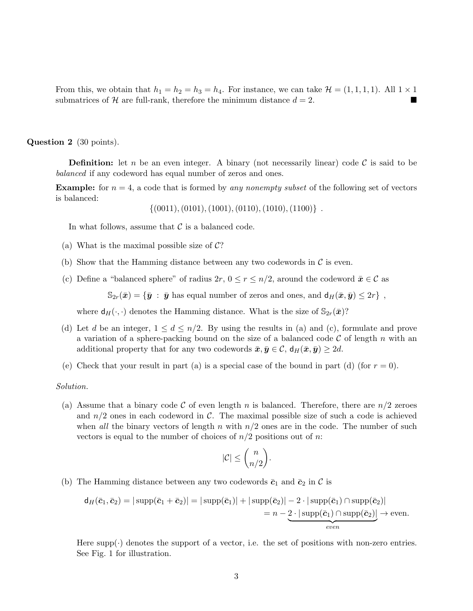From this, we obtain that  $h_1 = h_2 = h_3 = h_4$ . For instance, we can take  $\mathcal{H} = (1, 1, 1, 1)$ . All  $1 \times 1$ submatrices of  $H$  are full-rank, therefore the minimum distance  $d = 2$ .

Question 2 (30 points).

**Definition:** let n be an even integer. A binary (not necessarily linear) code  $\mathcal{C}$  is said to be balanced if any codeword has equal number of zeros and ones.

**Example:** for  $n = 4$ , a code that is formed by any nonempty subset of the following set of vectors is balanced:

 $\{(0011), (0101), (1001), (0110), (1010), (1100)\}$ .

In what follows, assume that  $\mathcal C$  is a balanced code.

- (a) What is the maximal possible size of  $\mathcal{C}$ ?
- (b) Show that the Hamming distance between any two codewords in  $\mathcal C$  is even.
- (c) Define a "balanced sphere" of radius  $2r, 0 \le r \le n/2$ , around the codeword  $\bar{x} \in \mathcal{C}$  as

 $\mathbb{S}_{2r}(\bar{x}) = {\bar{y} : \bar{y}$  has equal number of zeros and ones, and  $d_H(\bar{x}, \bar{y}) \leq 2r$ ,

where  $d_H(\cdot, \cdot)$  denotes the Hamming distance. What is the size of  $\mathbb{S}_{2r}(\bar{x})$ ?

- (d) Let d be an integer,  $1 \leq d \leq n/2$ . By using the results in (a) and (c), formulate and prove a variation of a sphere-packing bound on the size of a balanced code  $\mathcal C$  of length n with an additional property that for any two codewords  $\bar{x}, \bar{y} \in \mathcal{C}$ ,  $d_H(\bar{x}, \bar{y}) \geq 2d$ .
- (e) Check that your result in part (a) is a special case of the bound in part (d) (for  $r = 0$ ).

#### Solution.

(a) Assume that a binary code C of even length n is balanced. Therefore, there are  $n/2$  zeroes and  $n/2$  ones in each codeword in C. The maximal possible size of such a code is achieved when all the binary vectors of length n with  $n/2$  ones are in the code. The number of such vectors is equal to the number of choices of  $n/2$  positions out of n:

$$
|\mathcal{C}|\leq \binom{n}{n/2}.
$$

(b) The Hamming distance between any two codewords  $\bar{c}_1$  and  $\bar{c}_2$  in  $\mathcal C$  is

$$
d_H(\bar{c}_1, \bar{c}_2) = |\operatorname{supp}(\bar{c}_1 + \bar{c}_2)| = |\operatorname{supp}(\bar{c}_1)| + |\operatorname{supp}(\bar{c}_2)| - 2 \cdot |\operatorname{supp}(\bar{c}_1) \cap \operatorname{supp}(\bar{c}_2)|
$$
  
=  $n - 2 \cdot |\operatorname{supp}(\bar{c}_1) \cap \operatorname{supp}(\bar{c}_2)|$   
*even*

Here supp $(\cdot)$  denotes the support of a vector, i.e. the set of positions with non-zero entries. See Fig. 1 for illustration.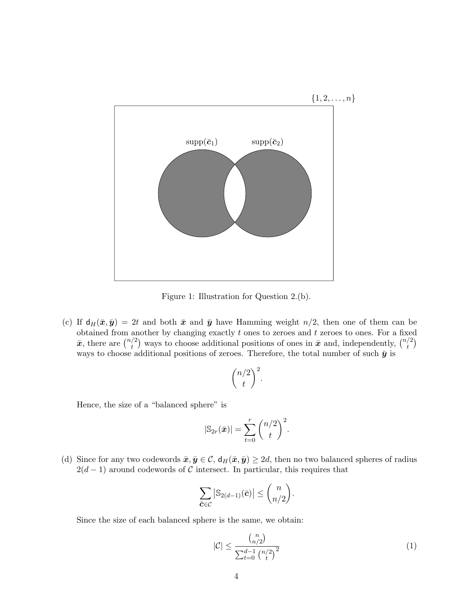

Figure 1: Illustration for Question 2.(b).

(c) If  $d_H(\bar{x}, \bar{y}) = 2t$  and both  $\bar{x}$  and  $\bar{y}$  have Hamming weight  $n/2$ , then one of them can be obtained from another by changing exactly  $t$  ones to zeroes and  $t$  zeroes to ones. For a fixed  $\bar{x}$ , there are  $\binom{n/2}{t}$  $\binom{1}{t}$  ways to choose additional positions of ones in  $\bar{x}$  and, independently,  $\binom{n/2}{t}$  $t\choose t$ ways to choose additional positions of zeroes. Therefore, the total number of such  $\bar{y}$  is

$$
\binom{n/2}{t}^2.
$$

Hence, the size of a "balanced sphere" is

$$
|\mathbb{S}_{2r}(\bar{x})| = \sum_{t=0}^r \binom{n/2}{t}^2.
$$

(d) Since for any two codewords  $\bar{x}, \bar{y} \in \mathcal{C}$ ,  $d_H(\bar{x}, \bar{y}) \geq 2d$ , then no two balanced spheres of radius  $2(d-1)$  around codewords of C intersect. In particular, this requires that

$$
\sum_{\bar{\mathbf{c}} \in \mathcal{C}} \left| \mathbb{S}_{2(d-1)}(\bar{\mathbf{c}}) \right| \le \binom{n}{n/2}.
$$

Since the size of each balanced sphere is the same, we obtain:

$$
|\mathcal{C}| \le \frac{\binom{n}{n/2}}{\sum_{t=0}^{d-1} \binom{n/2}{t}^2} \tag{1}
$$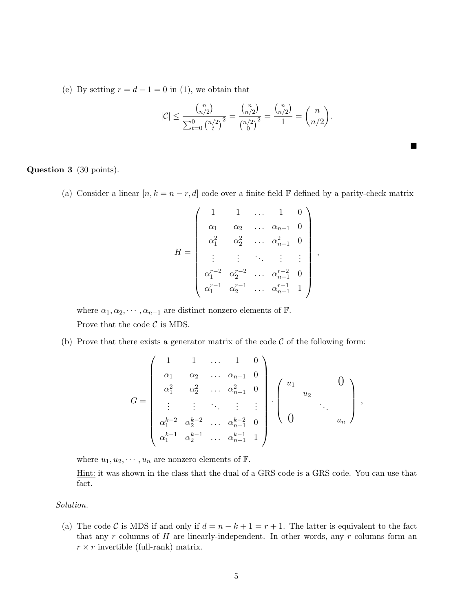(e) By setting  $r = d - 1 = 0$  in (1), we obtain that

$$
|\mathcal{C}| \le \frac{\binom{n}{n/2}}{\sum_{t=0}^0 \binom{n/2}{t}^2} = \frac{\binom{n}{n/2}}{\binom{n/2}{0}^2} = \frac{\binom{n}{n/2}}{1} = \binom{n}{n/2}.
$$

 $\blacksquare$ 

Question 3 (30 points).

(a) Consider a linear  $[n, k = n - r, d]$  code over a finite field F defined by a parity-check matrix

$$
H = \begin{pmatrix} 1 & 1 & \dots & 1 & 0 \\ \alpha_1 & \alpha_2 & \dots & \alpha_{n-1} & 0 \\ \alpha_1^2 & \alpha_2^2 & \dots & \alpha_{n-1}^2 & 0 \\ \vdots & \vdots & \ddots & \vdots & \vdots \\ \alpha_1^{r-2} & \alpha_2^{r-2} & \dots & \alpha_{n-1}^{r-2} & 0 \\ \alpha_1^{r-1} & \alpha_2^{r-1} & \dots & \alpha_{n-1}^{r-1} & 1 \end{pmatrix},
$$

where  $\alpha_1, \alpha_2, \cdots, \alpha_{n-1}$  are distinct nonzero elements of  $\mathbb{F}$ . Prove that the code  $\mathcal C$  is MDS.

(b) Prove that there exists a generator matrix of the code  $\mathcal C$  of the following form:

$$
G = \begin{pmatrix} 1 & 1 & \dots & 1 & 0 \\ \alpha_1 & \alpha_2 & \dots & \alpha_{n-1} & 0 \\ \alpha_1^2 & \alpha_2^2 & \dots & \alpha_{n-1}^2 & 0 \\ \vdots & \vdots & \ddots & \vdots & \vdots \\ \alpha_1^{k-2} & \alpha_2^{k-2} & \dots & \alpha_{n-1}^{k-2} & 0 \\ \alpha_1^{k-1} & \alpha_2^{k-1} & \dots & \alpha_{n-1}^{k-1} & 1 \end{pmatrix} \begin{pmatrix} u_1 & & & 0 \\ & u_2 & & \\ & & \ddots & \\ 0 & & & u_n \end{pmatrix},
$$

where  $u_1, u_2, \dots, u_n$  are nonzero elements of  $\mathbb{F}$ .

Hint: it was shown in the class that the dual of a GRS code is a GRS code. You can use that fact.

### Solution.

(a) The code C is MDS if and only if  $d = n - k + 1 = r + 1$ . The latter is equivalent to the fact that any r columns of  $H$  are linearly-independent. In other words, any r columns form an  $r \times r$  invertible (full-rank) matrix.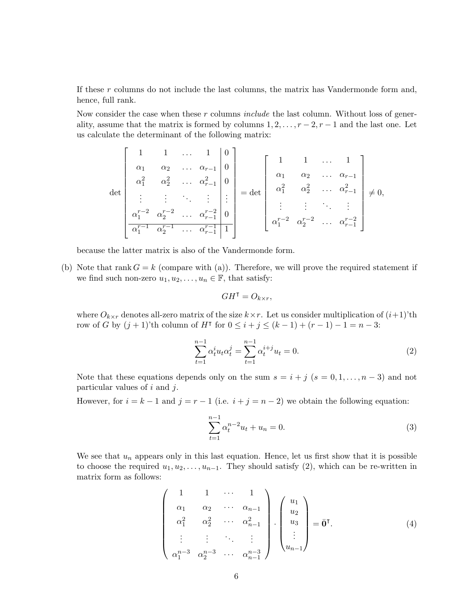If these r columns do not include the last columns, the matrix has Vandermonde form and, hence, full rank.

Now consider the case when these  $r$  columns  $include$  the last column. Without loss of generality, assume that the matrix is formed by columns  $1, 2, \ldots, r-2, r-1$  and the last one. Let us calculate the determinant of the following matrix:

$$
\det \begin{bmatrix} 1 & 1 & \dots & 1 & 0 \\ \alpha_1 & \alpha_2 & \dots & \alpha_{r-1} & 0 \\ \alpha_1^2 & \alpha_2^2 & \dots & \alpha_{r-1}^2 & 0 \\ \vdots & \vdots & \ddots & \vdots & \vdots \\ \alpha_1^{r-2} & \alpha_2^{r-2} & \dots & \alpha_{r-1}^{r-2} & 0 \\ \alpha_1^{r-1} & \alpha_2^{r-1} & \dots & \alpha_{r-1}^{r-1} & 1 \end{bmatrix} = \det \begin{bmatrix} 1 & 1 & \dots & 1 \\ \alpha_1 & \alpha_2 & \dots & \alpha_{r-1} \\ \alpha_1^2 & \alpha_2^2 & \dots & \alpha_{r-1}^2 \\ \vdots & \vdots & \ddots & \vdots \\ \alpha_1^{r-2} & \alpha_2^{r-2} & \dots & \alpha_{r-1}^{r-2} \end{bmatrix} \neq 0,
$$

because the latter matrix is also of the Vandermonde form.

(b) Note that rank  $G = k$  (compare with (a)). Therefore, we will prove the required statement if we find such non-zero  $u_1, u_2, \ldots, u_n \in \mathbb{F}$ , that satisfy:

$$
GH^{\dagger} = O_{k \times r},
$$

where  $O_{k\times r}$  denotes all-zero matrix of the size  $k\times r$ . Let us consider multiplication of  $(i+1)$ 'th row of G by  $(j + 1)$ 'th column of H<sup> $\dagger$ </sup> for  $0 \leq i + j \leq (k - 1) + (r - 1) - 1 = n - 3$ :

$$
\sum_{t=1}^{n-1} \alpha_t^i u_t \alpha_t^j = \sum_{t=1}^{n-1} \alpha_t^{i+j} u_t = 0.
$$
 (2)

Note that these equations depends only on the sum  $s = i + j$   $(s = 0, 1, \ldots, n-3)$  and not particular values of  $i$  and  $j$ .

However, for  $i = k - 1$  and  $j = r - 1$  (i.e.  $i + j = n - 2$ ) we obtain the following equation:

$$
\sum_{t=1}^{n-1} \alpha_t^{n-2} u_t + u_n = 0.
$$
 (3)

We see that  $u_n$  appears only in this last equation. Hence, let us first show that it is possible to choose the required  $u_1, u_2, \ldots, u_{n-1}$ . They should satisfy (2), which can be re-written in matrix form as follows:

$$
\begin{pmatrix}\n1 & 1 & \cdots & 1 \\
\alpha_1 & \alpha_2 & \cdots & \alpha_{n-1} \\
\alpha_1^2 & \alpha_2^2 & \cdots & \alpha_{n-1}^2 \\
\vdots & \vdots & \ddots & \vdots \\
\alpha_1^{n-3} & \alpha_2^{n-3} & \cdots & \alpha_{n-1}^{n-3}\n\end{pmatrix}\n\cdot\n\begin{pmatrix}\nu_1 \\
u_2 \\
u_3 \\
\vdots \\
u_{n-1}\n\end{pmatrix} = \bar{\mathbf{0}}^{\mathsf{T}}.
$$
\n(4)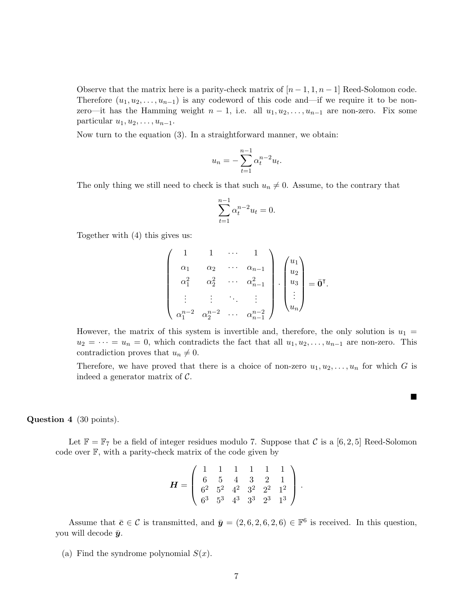Observe that the matrix here is a parity-check matrix of  $[n-1,1,n-1]$  Reed-Solomon code. Therefore  $(u_1, u_2, \ldots, u_{n-1})$  is any codeword of this code and—if we require it to be nonzero—it has the Hamming weight  $n-1$ , i.e. all  $u_1, u_2, \ldots, u_{n-1}$  are non-zero. Fix some particular  $u_1, u_2, \ldots, u_{n-1}$ .

Now turn to the equation (3). In a straightforward manner, we obtain:

$$
u_n = -\sum_{t=1}^{n-1} \alpha_t^{n-2} u_t.
$$

The only thing we still need to check is that such  $u_n \neq 0$ . Assume, to the contrary that

$$
\sum_{t=1}^{n-1} \alpha_t^{n-2} u_t = 0.
$$

Together with (4) this gives us:

$$
\begin{pmatrix}\n1 & 1 & \cdots & 1 \\
\alpha_1 & \alpha_2 & \cdots & \alpha_{n-1} \\
\alpha_1^2 & \alpha_2^2 & \cdots & \alpha_{n-1}^2 \\
\vdots & \vdots & \ddots & \vdots \\
\alpha_1^{n-2} & \alpha_2^{n-2} & \cdots & \alpha_{n-1}^{n-2}\n\end{pmatrix} \cdot \begin{pmatrix}\nu_1 \\ u_2 \\ u_3 \\ \vdots \\ u_n\end{pmatrix} = \bar{\mathbf{0}}^{\mathsf{T}}.
$$

However, the matrix of this system is invertible and, therefore, the only solution is  $u_1 =$  $u_2 = \cdots = u_n = 0$ , which contradicts the fact that all  $u_1, u_2, \ldots, u_{n-1}$  are non-zero. This contradiction proves that  $u_n \neq 0$ .

Therefore, we have proved that there is a choice of non-zero  $u_1, u_2, \ldots, u_n$  for which G is indeed a generator matrix of  $C$ .

 $\blacksquare$ 

## Question 4 (30 points).

Let  $\mathbb{F} = \mathbb{F}_7$  be a field of integer residues modulo 7. Suppose that C is a [6, 2, 5] Reed-Solomon code over F, with a parity-check matrix of the code given by

$$
\boldsymbol{H} = \left(\begin{array}{cccccc} 1 & 1 & 1 & 1 & 1 & 1 \\ 6 & 5 & 4 & 3 & 2 & 1 \\ 6^2 & 5^2 & 4^2 & 3^2 & 2^2 & 1^2 \\ 6^3 & 5^3 & 4^3 & 3^3 & 2^3 & 1^3 \end{array}\right).
$$

Assume that  $\bar{c} \in \mathcal{C}$  is transmitted, and  $\bar{y} = (2, 6, 2, 6, 2, 6) \in \mathbb{F}^6$  is received. In this question, you will decode  $\bar{y}$ .

(a) Find the syndrome polynomial  $S(x)$ .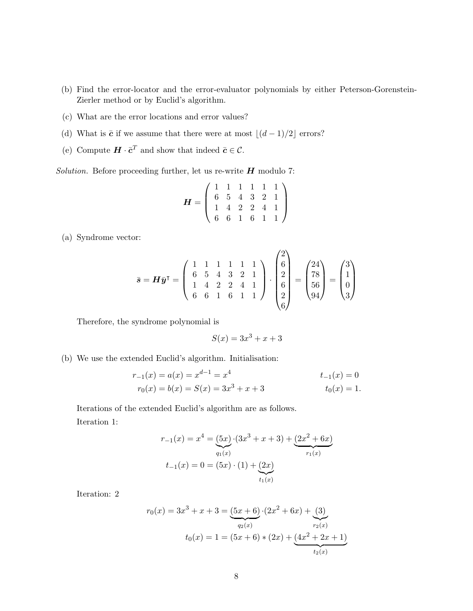- (b) Find the error-locator and the error-evaluator polynomials by either Peterson-Gorenstein-Zierler method or by Euclid's algorithm.
- (c) What are the error locations and error values?
- (d) What is  $\bar{c}$  if we assume that there were at most  $\lfloor (d 1)/2 \rfloor$  errors?
- (e) Compute  $\boldsymbol{H} \cdot \boldsymbol{\bar{c}}^T$  and show that indeed  $\boldsymbol{\bar{c}} \in \mathcal{C}$ .

Solution. Before proceeding further, let us re-write  $H$  modulo 7:

$$
H = \left(\begin{array}{rrrrr} 1 & 1 & 1 & 1 & 1 & 1 \\ 6 & 5 & 4 & 3 & 2 & 1 \\ 1 & 4 & 2 & 2 & 4 & 1 \\ 6 & 6 & 1 & 6 & 1 & 1 \end{array}\right)
$$

(a) Syndrome vector:

$$
\bar{\mathbf{s}} = \mathbf{H}\bar{\mathbf{y}}^{\mathsf{T}} = \begin{pmatrix} 1 & 1 & 1 & 1 & 1 & 1 \\ 6 & 5 & 4 & 3 & 2 & 1 \\ 1 & 4 & 2 & 2 & 4 & 1 \\ 6 & 6 & 1 & 6 & 1 & 1 \end{pmatrix} \cdot \begin{pmatrix} 2 \\ 6 \\ 2 \\ 6 \\ 2 \\ 6 \end{pmatrix} = \begin{pmatrix} 24 \\ 78 \\ 56 \\ 94 \end{pmatrix} = \begin{pmatrix} 3 \\ 1 \\ 0 \\ 3 \end{pmatrix}
$$

Therefore, the syndrome polynomial is

$$
S(x) = 3x^3 + x + 3
$$

(b) We use the extended Euclid's algorithm. Initialisation:

$$
r_{-1}(x) = a(x) = x^{d-1} = x^4
$$
  
\n
$$
r_0(x) = b(x) = S(x) = 3x^3 + x + 3
$$
  
\n
$$
t_{-1}(x) = 0
$$
  
\n
$$
t_0(x) = 1.
$$

Iterations of the extended Euclid's algorithm are as follows. Iteration 1:

$$
r_{-1}(x) = x^4 = (5x) \cdot (3x^3 + x + 3) + (2x^2 + 6x)
$$

$$
t_{-1}(x) = 0 = (5x) \cdot (1) + (2x)
$$

$$
t_{1}(x) = t_{1}(x)
$$

Iteration: 2

$$
r_0(x) = 3x^3 + x + 3 = \underbrace{(5x+6)}_{q_2(x)} \cdot (2x^2 + 6x) + \underbrace{(3)}_{r_2(x)}
$$

$$
t_0(x) = 1 = (5x+6) * (2x) + \underbrace{(4x^2 + 2x + 1)}_{t_2(x)}
$$